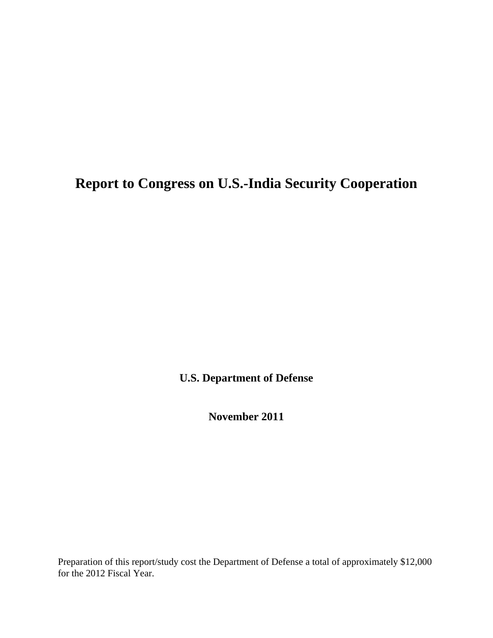# **Report to Congress on U.S.-India Security Cooperation**

**U.S. Department of Defense** 

**November 2011** 

Preparation of this report/study cost the Department of Defense a total of approximately \$12,000 for the 2012 Fiscal Year.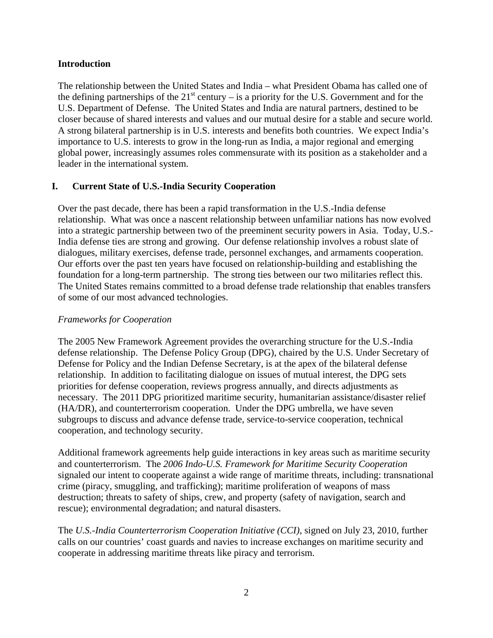## **Introduction**

The relationship between the United States and India – what President Obama has called one of the defining partnerships of the  $21<sup>st</sup>$  century – is a priority for the U.S. Government and for the U.S. Department of Defense. The United States and India are natural partners, destined to be closer because of shared interests and values and our mutual desire for a stable and secure world. A strong bilateral partnership is in U.S. interests and benefits both countries. We expect India's importance to U.S. interests to grow in the long-run as India, a major regional and emerging global power, increasingly assumes roles commensurate with its position as a stakeholder and a leader in the international system.

# **I. Current State of U.S.-India Security Cooperation**

Over the past decade, there has been a rapid transformation in the U.S.-India defense relationship. What was once a nascent relationship between unfamiliar nations has now evolved into a strategic partnership between two of the preeminent security powers in Asia. Today, U.S.- India defense ties are strong and growing. Our defense relationship involves a robust slate of dialogues, military exercises, defense trade, personnel exchanges, and armaments cooperation. Our efforts over the past ten years have focused on relationship-building and establishing the foundation for a long-term partnership. The strong ties between our two militaries reflect this. The United States remains committed to a broad defense trade relationship that enables transfers of some of our most advanced technologies.

## *Frameworks for Cooperation*

The 2005 New Framework Agreement provides the overarching structure for the U.S.-India defense relationship. The Defense Policy Group (DPG), chaired by the U.S. Under Secretary of Defense for Policy and the Indian Defense Secretary, is at the apex of the bilateral defense relationship. In addition to facilitating dialogue on issues of mutual interest, the DPG sets priorities for defense cooperation, reviews progress annually, and directs adjustments as necessary. The 2011 DPG prioritized maritime security, humanitarian assistance/disaster relief (HA/DR), and counterterrorism cooperation. Under the DPG umbrella, we have seven subgroups to discuss and advance defense trade, service-to-service cooperation, technical cooperation, and technology security.

Additional framework agreements help guide interactions in key areas such as maritime security and counterterrorism. The *2006 Indo-U.S. Framework for Maritime Security Cooperation*  signaled our intent to cooperate against a wide range of maritime threats, including: transnational crime (piracy, smuggling, and trafficking); maritime proliferation of weapons of mass destruction; threats to safety of ships, crew, and property (safety of navigation, search and rescue); environmental degradation; and natural disasters.

The *U.S.-India Counterterrorism Cooperation Initiative (CCI)*, signed on July 23, 2010, further calls on our countries' coast guards and navies to increase exchanges on maritime security and cooperate in addressing maritime threats like piracy and terrorism.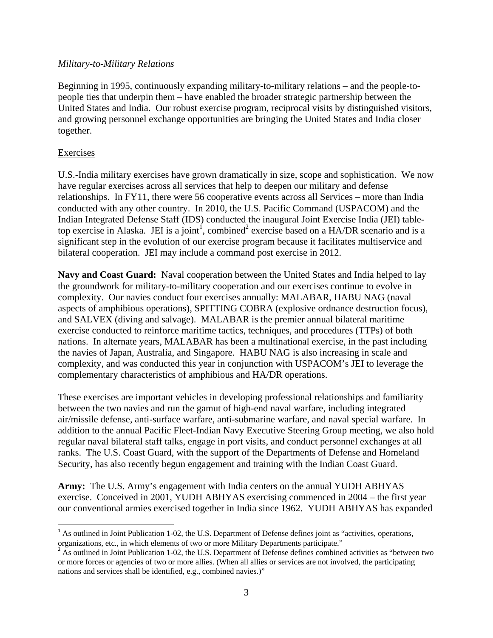#### *Military-to-Military Relations*

Beginning in 1995, continuously expanding military-to-military relations – and the people-topeople ties that underpin them – have enabled the broader strategic partnership between the United States and India. Our robust exercise program, reciprocal visits by distinguished visitors, and growing personnel exchange opportunities are bringing the United States and India closer together.

#### Exercises

U.S.-India military exercises have grown dramatically in size, scope and sophistication. We now have regular exercises across all services that help to deepen our military and defense relationships. In FY11, there were 56 cooperative events across all Services – more than India conducted with any other country. In 2010, the U.S. Pacific Command (USPACOM) and the Indian Integrated Defense Staff (IDS) conducted the inaugural Joint Exercise India (JEI) tabletop exercise in Alaska. JEI is a joint<sup>1</sup>, combined<sup>2</sup> exercise based on a HA/DR scenario and is a significant step in the evolution of our exercise program because it facilitates multiservice and bilateral cooperation. JEI may include a command post exercise in 2012.

**Navy and Coast Guard:** Naval cooperation between the United States and India helped to lay the groundwork for military-to-military cooperation and our exercises continue to evolve in complexity. Our navies conduct four exercises annually: MALABAR, HABU NAG (naval aspects of amphibious operations), SPITTING COBRA (explosive ordnance destruction focus), and SALVEX (diving and salvage). MALABAR is the premier annual bilateral maritime exercise conducted to reinforce maritime tactics, techniques, and procedures (TTPs) of both nations. In alternate years, MALABAR has been a multinational exercise, in the past including the navies of Japan, Australia, and Singapore. HABU NAG is also increasing in scale and complexity, and was conducted this year in conjunction with USPACOM's JEI to leverage the complementary characteristics of amphibious and HA/DR operations.

These exercises are important vehicles in developing professional relationships and familiarity between the two navies and run the gamut of high-end naval warfare, including integrated air/missile defense, anti-surface warfare, anti-submarine warfare, and naval special warfare. In addition to the annual Pacific Fleet-Indian Navy Executive Steering Group meeting, we also hold regular naval bilateral staff talks, engage in port visits, and conduct personnel exchanges at all ranks. The U.S. Coast Guard, with the support of the Departments of Defense and Homeland Security, has also recently begun engagement and training with the Indian Coast Guard.

**Army:** The U.S. Army's engagement with India centers on the annual YUDH ABHYAS exercise. Conceived in 2001, YUDH ABHYAS exercising commenced in 2004 – the first year our conventional armies exercised together in India since 1962. YUDH ABHYAS has expanded

 $<sup>1</sup>$  As outlined in Joint Publication 1-02, the U.S. Department of Defense defines joint as "activities, operations,</sup> organizations, etc., in which elements of two or more Military Departments participate."

 $2$  As outlined in Joint Publication 1-02, the U.S. Department of Defense defines combined activities as "between two or more forces or agencies of two or more allies. (When all allies or services are not involved, the participating nations and services shall be identified, e.g., combined navies.)"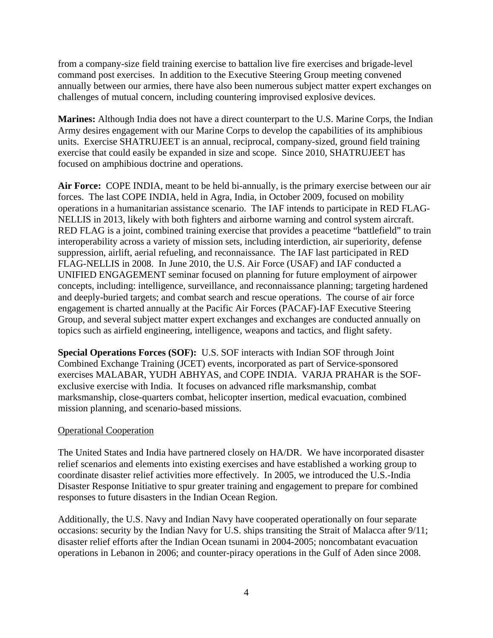from a company-size field training exercise to battalion live fire exercises and brigade-level command post exercises. In addition to the Executive Steering Group meeting convened annually between our armies, there have also been numerous subject matter expert exchanges on challenges of mutual concern, including countering improvised explosive devices.

**Marines:** Although India does not have a direct counterpart to the U.S. Marine Corps, the Indian Army desires engagement with our Marine Corps to develop the capabilities of its amphibious units. Exercise SHATRUJEET is an annual, reciprocal, company-sized, ground field training exercise that could easily be expanded in size and scope. Since 2010, SHATRUJEET has focused on amphibious doctrine and operations.

**Air Force:** COPE INDIA, meant to be held bi-annually, is the primary exercise between our air forces. The last COPE INDIA, held in Agra, India, in October 2009, focused on mobility operations in a humanitarian assistance scenario. The IAF intends to participate in RED FLAG-NELLIS in 2013, likely with both fighters and airborne warning and control system aircraft. RED FLAG is a joint, combined training exercise that provides a peacetime "battlefield" to train interoperability across a variety of mission sets, including interdiction, air superiority, defense suppression, airlift, aerial refueling, and reconnaissance. The IAF last participated in RED FLAG-NELLIS in 2008. In June 2010, the U.S. Air Force (USAF) and IAF conducted a UNIFIED ENGAGEMENT seminar focused on planning for future employment of airpower concepts, including: intelligence, surveillance, and reconnaissance planning; targeting hardened and deeply-buried targets; and combat search and rescue operations. The course of air force engagement is charted annually at the Pacific Air Forces (PACAF)-IAF Executive Steering Group, and several subject matter expert exchanges and exchanges are conducted annually on topics such as airfield engineering, intelligence, weapons and tactics, and flight safety.

**Special Operations Forces (SOF):** U.S. SOF interacts with Indian SOF through Joint Combined Exchange Training (JCET) events, incorporated as part of Service-sponsored exercises MALABAR, YUDH ABHYAS, and COPE INDIA. VARJA PRAHAR is the SOFexclusive exercise with India. It focuses on advanced rifle marksmanship, combat marksmanship, close-quarters combat, helicopter insertion, medical evacuation, combined mission planning, and scenario-based missions.

## Operational Cooperation

The United States and India have partnered closely on HA/DR. We have incorporated disaster relief scenarios and elements into existing exercises and have established a working group to coordinate disaster relief activities more effectively. In 2005, we introduced the U.S.-India Disaster Response Initiative to spur greater training and engagement to prepare for combined responses to future disasters in the Indian Ocean Region.

Additionally, the U.S. Navy and Indian Navy have cooperated operationally on four separate occasions: security by the Indian Navy for U.S. ships transiting the Strait of Malacca after 9/11; disaster relief efforts after the Indian Ocean tsunami in 2004-2005; noncombatant evacuation operations in Lebanon in 2006; and counter-piracy operations in the Gulf of Aden since 2008.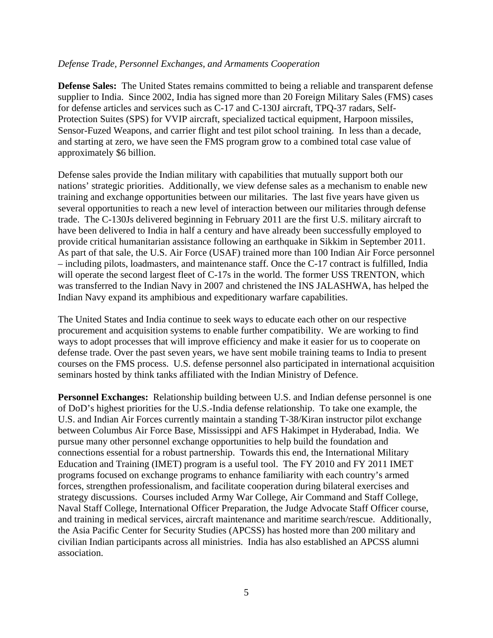#### *Defense Trade, Personnel Exchanges, and Armaments Cooperation*

**Defense Sales:** The United States remains committed to being a reliable and transparent defense supplier to India. Since 2002, India has signed more than 20 Foreign Military Sales (FMS) cases for defense articles and services such as C-17 and C-130J aircraft, TPQ-37 radars, Self-Protection Suites (SPS) for VVIP aircraft, specialized tactical equipment, Harpoon missiles, Sensor-Fuzed Weapons, and carrier flight and test pilot school training. In less than a decade, and starting at zero, we have seen the FMS program grow to a combined total case value of approximately \$6 billion.

Defense sales provide the Indian military with capabilities that mutually support both our nations' strategic priorities. Additionally, we view defense sales as a mechanism to enable new training and exchange opportunities between our militaries. The last five years have given us several opportunities to reach a new level of interaction between our militaries through defense trade. The C-130Js delivered beginning in February 2011 are the first U.S. military aircraft to have been delivered to India in half a century and have already been successfully employed to provide critical humanitarian assistance following an earthquake in Sikkim in September 2011. As part of that sale, the U.S. Air Force (USAF) trained more than 100 Indian Air Force personnel – including pilots, loadmasters, and maintenance staff. Once the C-17 contract is fulfilled, India will operate the second largest fleet of C-17s in the world. The former USS TRENTON, which was transferred to the Indian Navy in 2007 and christened the INS JALASHWA, has helped the Indian Navy expand its amphibious and expeditionary warfare capabilities.

The United States and India continue to seek ways to educate each other on our respective procurement and acquisition systems to enable further compatibility. We are working to find ways to adopt processes that will improve efficiency and make it easier for us to cooperate on defense trade. Over the past seven years, we have sent mobile training teams to India to present courses on the FMS process. U.S. defense personnel also participated in international acquisition seminars hosted by think tanks affiliated with the Indian Ministry of Defence.

**Personnel Exchanges:** Relationship building between U.S. and Indian defense personnel is one of DoD's highest priorities for the U.S.-India defense relationship. To take one example, the U.S. and Indian Air Forces currently maintain a standing T-38/Kiran instructor pilot exchange between Columbus Air Force Base, Mississippi and AFS Hakimpet in Hyderabad, India. We pursue many other personnel exchange opportunities to help build the foundation and connections essential for a robust partnership. Towards this end, the International Military Education and Training (IMET) program is a useful tool. The FY 2010 and FY 2011 IMET programs focused on exchange programs to enhance familiarity with each country's armed forces, strengthen professionalism, and facilitate cooperation during bilateral exercises and strategy discussions. Courses included Army War College, Air Command and Staff College, Naval Staff College, International Officer Preparation, the Judge Advocate Staff Officer course, and training in medical services, aircraft maintenance and maritime search/rescue. Additionally, the Asia Pacific Center for Security Studies (APCSS) has hosted more than 200 military and civilian Indian participants across all ministries. India has also established an APCSS alumni association.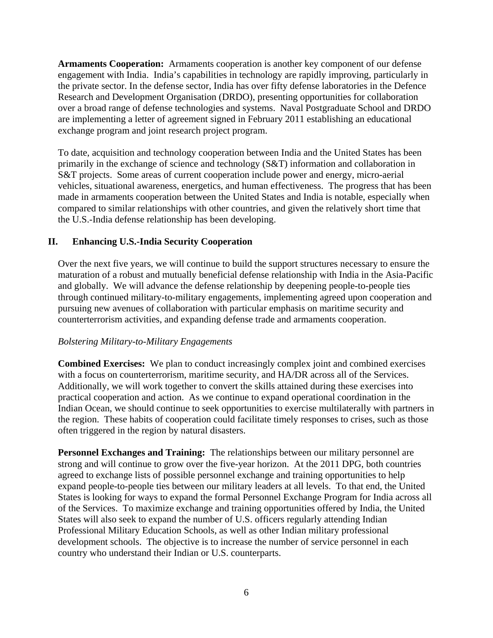**Armaments Cooperation:** Armaments cooperation is another key component of our defense engagement with India. India's capabilities in technology are rapidly improving, particularly in the private sector. In the defense sector, India has over fifty defense laboratories in the Defence Research and Development Organisation (DRDO), presenting opportunities for collaboration over a broad range of defense technologies and systems. Naval Postgraduate School and DRDO are implementing a letter of agreement signed in February 2011 establishing an educational exchange program and joint research project program.

To date, acquisition and technology cooperation between India and the United States has been primarily in the exchange of science and technology (S&T) information and collaboration in S&T projects. Some areas of current cooperation include power and energy, micro-aerial vehicles, situational awareness, energetics, and human effectiveness. The progress that has been made in armaments cooperation between the United States and India is notable, especially when compared to similar relationships with other countries, and given the relatively short time that the U.S.-India defense relationship has been developing.

# **II. Enhancing U.S.-India Security Cooperation**

Over the next five years, we will continue to build the support structures necessary to ensure the maturation of a robust and mutually beneficial defense relationship with India in the Asia-Pacific and globally. We will advance the defense relationship by deepening people-to-people ties through continued military-to-military engagements, implementing agreed upon cooperation and pursuing new avenues of collaboration with particular emphasis on maritime security and counterterrorism activities, and expanding defense trade and armaments cooperation.

## *Bolstering Military-to-Military Engagements*

**Combined Exercises:** We plan to conduct increasingly complex joint and combined exercises with a focus on counterterrorism, maritime security, and HA/DR across all of the Services. Additionally, we will work together to convert the skills attained during these exercises into practical cooperation and action. As we continue to expand operational coordination in the Indian Ocean, we should continue to seek opportunities to exercise multilaterally with partners in the region. These habits of cooperation could facilitate timely responses to crises, such as those often triggered in the region by natural disasters.

**Personnel Exchanges and Training:** The relationships between our military personnel are strong and will continue to grow over the five-year horizon. At the 2011 DPG, both countries agreed to exchange lists of possible personnel exchange and training opportunities to help expand people-to-people ties between our military leaders at all levels. To that end, the United States is looking for ways to expand the formal Personnel Exchange Program for India across all of the Services. To maximize exchange and training opportunities offered by India, the United States will also seek to expand the number of U.S. officers regularly attending Indian Professional Military Education Schools, as well as other Indian military professional development schools. The objective is to increase the number of service personnel in each country who understand their Indian or U.S. counterparts.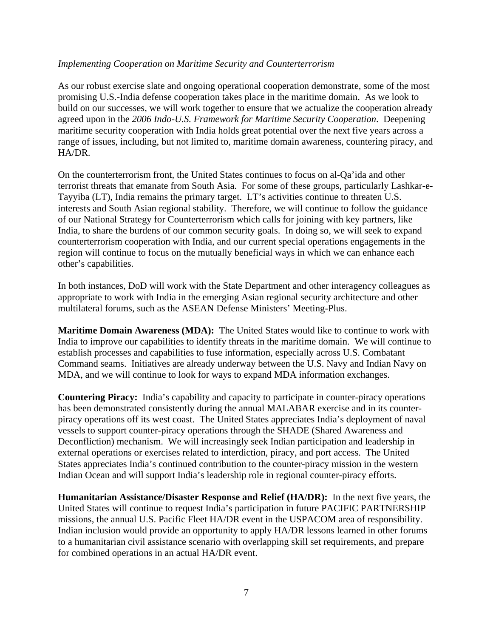## *Implementing Cooperation on Maritime Security and Counterterrorism*

As our robust exercise slate and ongoing operational cooperation demonstrate, some of the most promising U.S.-India defense cooperation takes place in the maritime domain. As we look to build on our successes, we will work together to ensure that we actualize the cooperation already agreed upon in the *2006 Indo-U.S. Framework for Maritime Security Cooperation*. Deepening maritime security cooperation with India holds great potential over the next five years across a range of issues, including, but not limited to, maritime domain awareness, countering piracy, and HA/DR.

On the counterterrorism front, the United States continues to focus on al-Qa'ida and other terrorist threats that emanate from South Asia. For some of these groups, particularly Lashkar-e-Tayyiba (LT), India remains the primary target. LT's activities continue to threaten U.S. interests and South Asian regional stability. Therefore, we will continue to follow the guidance of our National Strategy for Counterterrorism which calls for joining with key partners, like India, to share the burdens of our common security goals. In doing so, we will seek to expand counterterrorism cooperation with India, and our current special operations engagements in the region will continue to focus on the mutually beneficial ways in which we can enhance each other's capabilities.

In both instances, DoD will work with the State Department and other interagency colleagues as appropriate to work with India in the emerging Asian regional security architecture and other multilateral forums, such as the ASEAN Defense Ministers' Meeting-Plus.

**Maritime Domain Awareness (MDA):** The United States would like to continue to work with India to improve our capabilities to identify threats in the maritime domain. We will continue to establish processes and capabilities to fuse information, especially across U.S. Combatant Command seams. Initiatives are already underway between the U.S. Navy and Indian Navy on MDA, and we will continue to look for ways to expand MDA information exchanges.

**Countering Piracy:** India's capability and capacity to participate in counter-piracy operations has been demonstrated consistently during the annual MALABAR exercise and in its counterpiracy operations off its west coast. The United States appreciates India's deployment of naval vessels to support counter-piracy operations through the SHADE (Shared Awareness and Deconfliction) mechanism. We will increasingly seek Indian participation and leadership in external operations or exercises related to interdiction, piracy, and port access. The United States appreciates India's continued contribution to the counter-piracy mission in the western Indian Ocean and will support India's leadership role in regional counter-piracy efforts.

**Humanitarian Assistance/Disaster Response and Relief (HA/DR):** In the next five years, the United States will continue to request India's participation in future PACIFIC PARTNERSHIP missions, the annual U.S. Pacific Fleet HA/DR event in the USPACOM area of responsibility. Indian inclusion would provide an opportunity to apply HA/DR lessons learned in other forums to a humanitarian civil assistance scenario with overlapping skill set requirements, and prepare for combined operations in an actual HA/DR event.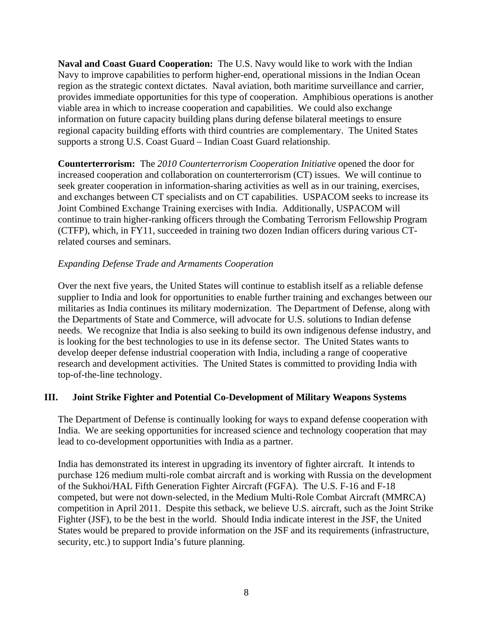**Naval and Coast Guard Cooperation:** The U.S. Navy would like to work with the Indian Navy to improve capabilities to perform higher-end, operational missions in the Indian Ocean region as the strategic context dictates. Naval aviation, both maritime surveillance and carrier, provides immediate opportunities for this type of cooperation. Amphibious operations is another viable area in which to increase cooperation and capabilities. We could also exchange information on future capacity building plans during defense bilateral meetings to ensure regional capacity building efforts with third countries are complementary. The United States supports a strong U.S. Coast Guard – Indian Coast Guard relationship.

**Counterterrorism:** The *2010 Counterterrorism Cooperation Initiative* opened the door for increased cooperation and collaboration on counterterrorism (CT) issues. We will continue to seek greater cooperation in information-sharing activities as well as in our training, exercises, and exchanges between CT specialists and on CT capabilities. USPACOM seeks to increase its Joint Combined Exchange Training exercises with India. Additionally, USPACOM will continue to train higher-ranking officers through the Combating Terrorism Fellowship Program (CTFP), which, in FY11, succeeded in training two dozen Indian officers during various CTrelated courses and seminars.

## *Expanding Defense Trade and Armaments Cooperation*

Over the next five years, the United States will continue to establish itself as a reliable defense supplier to India and look for opportunities to enable further training and exchanges between our militaries as India continues its military modernization. The Department of Defense, along with the Departments of State and Commerce, will advocate for U.S. solutions to Indian defense needs. We recognize that India is also seeking to build its own indigenous defense industry, and is looking for the best technologies to use in its defense sector. The United States wants to develop deeper defense industrial cooperation with India, including a range of cooperative research and development activities. The United States is committed to providing India with top-of-the-line technology.

# **III. Joint Strike Fighter and Potential Co-Development of Military Weapons Systems**

The Department of Defense is continually looking for ways to expand defense cooperation with India. We are seeking opportunities for increased science and technology cooperation that may lead to co-development opportunities with India as a partner.

India has demonstrated its interest in upgrading its inventory of fighter aircraft. It intends to purchase 126 medium multi-role combat aircraft and is working with Russia on the development of the Sukhoi/HAL Fifth Generation Fighter Aircraft (FGFA). The U.S. F-16 and F-18 competed, but were not down-selected, in the Medium Multi-Role Combat Aircraft (MMRCA) competition in April 2011. Despite this setback, we believe U.S. aircraft, such as the Joint Strike Fighter (JSF), to be the best in the world. Should India indicate interest in the JSF, the United States would be prepared to provide information on the JSF and its requirements (infrastructure, security, etc.) to support India's future planning.